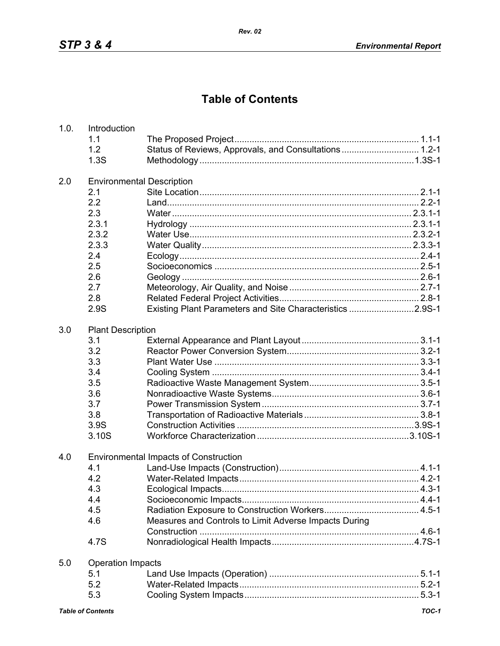## **Table of Contents**

| 1.0. | Introduction                     |                                                           |  |  |
|------|----------------------------------|-----------------------------------------------------------|--|--|
|      | 1.1                              |                                                           |  |  |
|      | 1.2                              | Status of Reviews, Approvals, and Consultations 1.2-1     |  |  |
|      | 1.3S                             |                                                           |  |  |
| 2.0  | <b>Environmental Description</b> |                                                           |  |  |
|      | 2.1                              |                                                           |  |  |
|      | 2.2                              |                                                           |  |  |
|      | 2.3                              |                                                           |  |  |
|      | 2.3.1                            |                                                           |  |  |
|      | 2.3.2                            |                                                           |  |  |
|      | 2.3.3                            |                                                           |  |  |
|      | 2.4                              |                                                           |  |  |
|      | 2.5                              |                                                           |  |  |
|      | 2.6                              |                                                           |  |  |
|      | 2.7                              |                                                           |  |  |
|      | 2.8                              |                                                           |  |  |
|      | 2.9S                             | Existing Plant Parameters and Site Characteristics 2.9S-1 |  |  |
| 3.0  | <b>Plant Description</b>         |                                                           |  |  |
|      | 3.1                              |                                                           |  |  |
|      | 3.2                              |                                                           |  |  |
|      | 3.3                              |                                                           |  |  |
|      | 3.4                              |                                                           |  |  |
|      | 3.5                              |                                                           |  |  |
|      | 3.6                              |                                                           |  |  |
|      | 3.7                              |                                                           |  |  |
|      | 3.8                              |                                                           |  |  |
|      | 3.9S                             |                                                           |  |  |
|      | 3.10S                            |                                                           |  |  |
| 4.0  |                                  | <b>Environmental Impacts of Construction</b>              |  |  |
|      | 4.1                              |                                                           |  |  |
|      | 4.2                              |                                                           |  |  |
|      | 4.3                              |                                                           |  |  |
|      | 4.4                              |                                                           |  |  |
|      | 4.5                              |                                                           |  |  |
|      | 4.6                              | Measures and Controls to Limit Adverse Impacts During     |  |  |
|      | 4.7S                             |                                                           |  |  |
| 5.0  | <b>Operation Impacts</b>         |                                                           |  |  |
|      | 5.1                              |                                                           |  |  |
|      | 5.2                              |                                                           |  |  |
|      | 5.3                              |                                                           |  |  |